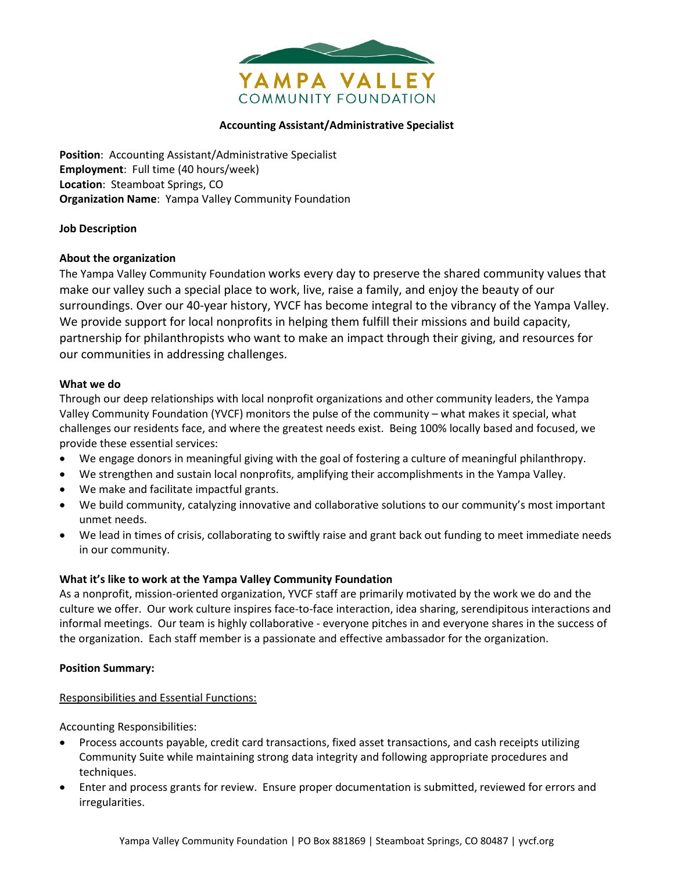

# **Accounting Assistant/Administrative Specialist**

**Position**: Accounting Assistant/Administrative Specialist **Employment**: Full time (40 hours/week) **Location**: Steamboat Springs, CO **Organization Name**: Yampa Valley Community Foundation

## **Job Description**

## **About the organization**

The Yampa Valley Community Foundation works every day to preserve the shared community values that make our valley such a special place to work, live, raise a family, and enjoy the beauty of our surroundings. Over our 40-year history, YVCF has become integral to the vibrancy of the Yampa Valley. We provide support for local nonprofits in helping them fulfill their missions and build capacity, partnership for philanthropists who want to make an impact through their giving, and resources for our communities in addressing challenges.

### **What we do**

Through our deep relationships with local nonprofit organizations and other community leaders, the Yampa Valley Community Foundation (YVCF) monitors the pulse of the community – what makes it special, what challenges our residents face, and where the greatest needs exist. Being 100% locally based and focused, we provide these essential services:

- We engage donors in meaningful giving with the goal of fostering a culture of meaningful philanthropy.
- We strengthen and sustain local nonprofits, amplifying their accomplishments in the Yampa Valley.
- We make and facilitate impactful grants.
- We build community, catalyzing innovative and collaborative solutions to our community's most important unmet needs.
- We lead in times of crisis, collaborating to swiftly raise and grant back out funding to meet immediate needs in our community.

# **What it's like to work at the Yampa Valley Community Foundation**

As a nonprofit, mission-oriented organization, YVCF staff are primarily motivated by the work we do and the culture we offer. Our work culture inspires face-to-face interaction, idea sharing, serendipitous interactions and informal meetings. Our team is highly collaborative - everyone pitches in and everyone shares in the success of the organization. Each staff member is a passionate and effective ambassador for the organization.

### **Position Summary:**

# Responsibilities and Essential Functions:

Accounting Responsibilities:

- Process accounts payable, credit card transactions, fixed asset transactions, and cash receipts utilizing Community Suite while maintaining strong data integrity and following appropriate procedures and techniques.
- Enter and process grants for review. Ensure proper documentation is submitted, reviewed for errors and irregularities.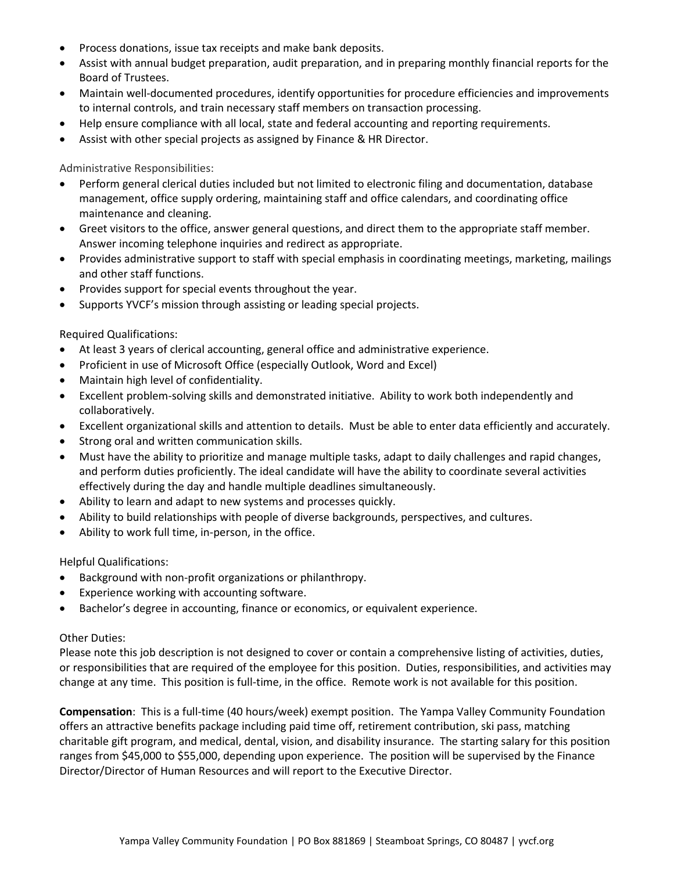- Process donations, issue tax receipts and make bank deposits.
- Assist with annual budget preparation, audit preparation, and in preparing monthly financial reports for the Board of Trustees.
- Maintain well-documented procedures, identify opportunities for procedure efficiencies and improvements to internal controls, and train necessary staff members on transaction processing.
- Help ensure compliance with all local, state and federal accounting and reporting requirements.
- Assist with other special projects as assigned by Finance & HR Director.

Administrative Responsibilities:

- Perform general clerical duties included but not limited to electronic filing and documentation, database management, office supply ordering, maintaining staff and office calendars, and coordinating office maintenance and cleaning.
- Greet visitors to the office, answer general questions, and direct them to the appropriate staff member. Answer incoming telephone inquiries and redirect as appropriate.
- Provides administrative support to staff with special emphasis in coordinating meetings, marketing, mailings and other staff functions.
- Provides support for special events throughout the year.
- Supports YVCF's mission through assisting or leading special projects.

Required Qualifications:

- At least 3 years of clerical accounting, general office and administrative experience.
- Proficient in use of Microsoft Office (especially Outlook, Word and Excel)
- Maintain high level of confidentiality.
- Excellent problem-solving skills and demonstrated initiative. Ability to work both independently and collaboratively.
- Excellent organizational skills and attention to details. Must be able to enter data efficiently and accurately.
- Strong oral and written communication skills.
- Must have the ability to prioritize and manage multiple tasks, adapt to daily challenges and rapid changes, and perform duties proficiently. The ideal candidate will have the ability to coordinate several activities effectively during the day and handle multiple deadlines simultaneously.
- Ability to learn and adapt to new systems and processes quickly.
- Ability to build relationships with people of diverse backgrounds, perspectives, and cultures.
- Ability to work full time, in-person, in the office.

Helpful Qualifications:

- Background with non-profit organizations or philanthropy.
- Experience working with accounting software.
- Bachelor's degree in accounting, finance or economics, or equivalent experience.

Other Duties:

Please note this job description is not designed to cover or contain a comprehensive listing of activities, duties, or responsibilities that are required of the employee for this position. Duties, responsibilities, and activities may change at any time. This position is full-time, in the office. Remote work is not available for this position.

**Compensation**: This is a full-time (40 hours/week) exempt position. The Yampa Valley Community Foundation offers an attractive benefits package including paid time off, retirement contribution, ski pass, matching charitable gift program, and medical, dental, vision, and disability insurance. The starting salary for this position ranges from \$45,000 to \$55,000, depending upon experience. The position will be supervised by the Finance Director/Director of Human Resources and will report to the Executive Director.